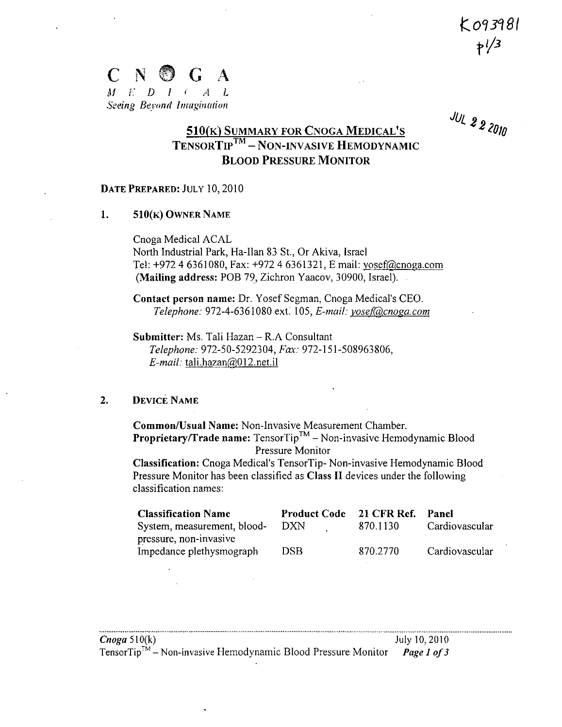$K$ 093981  $7^{1/3}$ 



**JUL 2 2 2010** 

# $\frac{510(K)$  SUMMARY FOR CNOGA MEDICAL'S<br>TENSORTIP<sup>TM</sup> – NON-INVASIVE HEMODYNAMIC **BLOOD PRESSURE MONITOR**

#### DATE PREPARED: JULY 10, 2010

#### $\mathbf{1}$ . 510(K) OWNER NAME

Cnoga Medical ACAL North Industrial Park, Ha-Ilan 83 St., Or Akiva, Israel Tel: +972 4 6361080, Fax: +972 4 6361321, E mail: yosef@cnoga.com (Mailing address: POB 79, Zichron Yaacov, 30900, Israel).

Contact person name: Dr. Yosef Segman, Cnoga Medical's CEO. Telephone: 972-4-6361080 ext. 105, E-mail: yosef@cnoga.com

Submitter: Ms. Tali Hazan - R.A Consultant Telephone: 972-50-5292304, Fax: 972-151-508963806,  $E$ -mail: tali.hazan $@012$ .net.il

#### $2.$ **DEVICE NAME**

Common/Usual Name: Non-Invasive Measurement Chamber. **Proprietary/Trade name:** Tensor $\text{Tip}^{\text{TM}}$  – Non-invasive Hemodynamic Blood Pressure Monitor

Classification: Cnoga Medical's TensorTip-Non-invasive Hemodynamic Blood Pressure Monitor has been classified as Class II devices under the following classification names:

| <b>Classification Name</b>  | Product Code 21 CFR Ref. Panel |          |                |
|-----------------------------|--------------------------------|----------|----------------|
| System, measurement, blood- | -DXN                           | 870.1130 | Cardiovascular |
| pressure, non-invasive      |                                |          |                |
| Impedance plethysmograph    | DSB.                           | 870.2770 | Cardiovascular |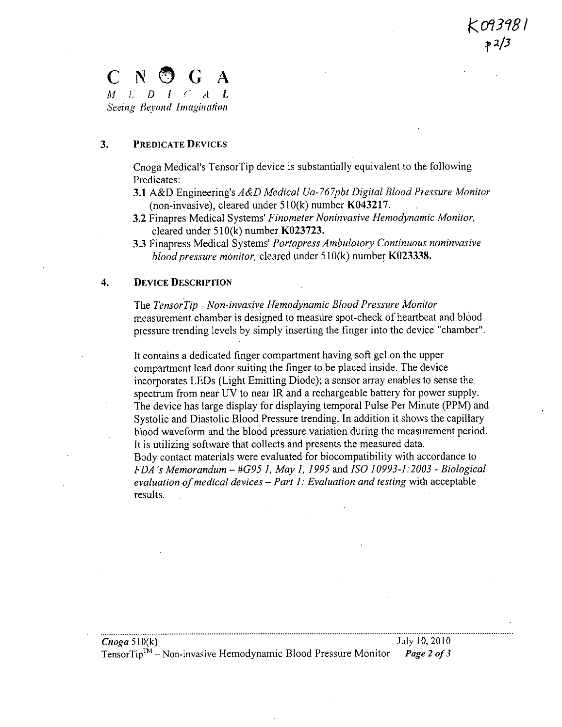## **C N G A** *Al I. I) I* **<** *et L Seeingk lBerad Imagination*

#### **3. PREDICATE DEVICES**

Cnoga Medical's TensorTip device is substantially equivalent to the following Predicates:

- **3.1** A&D Engineering's *A&D Medical Ua- 767pbt Digital Blood Pressure Monitor* (non-invasive), cleared under 510(k) number **K043217**.
- **3.2** Finapres Medical *Systems' Finometer Noninvasive Hemodynamic Monitor,* cleared under 5 10(k) number **K023723.**
- **3.3** Finapress Medical *Systems' Portapress Ambulatory Continuous noninvasive blood pressure monitor,* cleared under 5 10(k) number **K023338.**

#### **4. DEVICE DESCRIPTION**

The TensorTip - Non-invasive Hemodynamic Blood Pressure Monitor measurement chamber is designed to measure spot-check of heartbeat and blood pressure trending levels by simply inserting the finger into the device "chamber'.

It contains a dedicated finger compartment having soft gel on the upper compartment lead door suiting the finger to be placed inside. The device incorporates LEDs (Light Emitting Diode); a sensor array enables to sense the, spectrum from near UV to near JR and a rechargeable battery for power supply. The device has large display for displaying temporal Pulse Per Minute (PPM) and Systolic and Diastolic Blood Pressure trending. In addition it shows the capillary blood waveform and the blood pressure variation during the measurement period. It is utilizing software that collects and presents the measured data. Body contact materials were evaluated for biocompatibility with accordance to *FDA 's Memorandum* - *#G95 1, May 1, 1995 and ISO 10993-1:2 003* - *Biological evaluation of medical devices* - *Part 1: Evaluation and testing* with acceptable results.

| <i>Cnoga</i> 510(k)                                                                   | July 10, 2010 |
|---------------------------------------------------------------------------------------|---------------|
| TensorTip <sup>TM</sup> – Non-invasive Hemodynamic Blood Pressure Monitor Page 2 of 3 |               |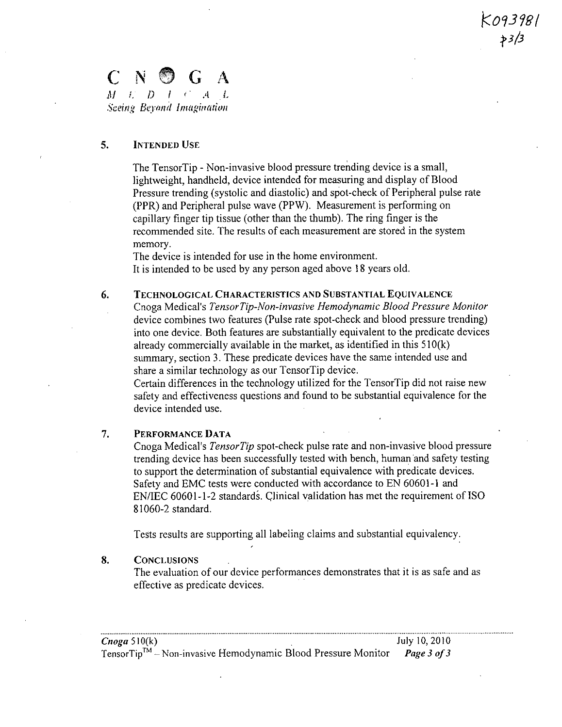### $\mathbf{G}$ *Al* .9 *1 .4L* Sceing Beyond Imagination

#### **5. INTENDED USE**

The TensorTip - Non-invasive blood pressure trending device is a small, lightweight, handheld, device intended for measuring and display of Blood Pressure trending (systolic and diastolic) and spot-check of Peripheral pulse rate (PPR) and Peripheral pulse wave (PPW). Measurement is performing on capillary finger tip tissue (other than the thumb). The ring finger is the recommended site. The results of each measurement are stored in the system memory.

093981.

The device is intended for use in the home environment. It is intended to be used by any person aged above 18 years old.

#### 6. **TECHNOLOGICAL CHARACTERISTICS AND SUBSTANTIAL EQUIVALENCE**

Cnoga Medical's *Tensor Tip-Non-invasive Hemodynamic Blood Pressure Monitor* device combines two features (Pulse rate spot-check and blood pressure trending) into one device. Both features are substantially equivalent to the predicate devices already commercially available in the market, as identified in this  $510(k)$ summary, section 3. These predicate devices have the same intended use and share a similar technology as our TensorTip device.

Certain differences in the technology utilized for the TensorTip did not raise new safety and effectiveness questions and found to be substantial equivalence for the device intended use.

#### 7. **PERFORMANCE DATA**

Cnoga Medical's *Tensor Tip* spot-check pulse rate and non-invasive blood pressure trending device has been successfully tested with bench, human and safety testing to support the determination of substantial equivalence with predicate devices. Safety and EMC tests were conducted with accordance to EN 60601 -1 and EN/IEC 60601-1-2 standards. Clinical validation has met the requirement of ISO 8 1060-2 standard.

Tests results are supporting all labeling claims and substantial equivalency.

#### **8. CONCLUSIONS**

The evaluation of our device performances demonstrates that it is as safe and as effective as predicate devices.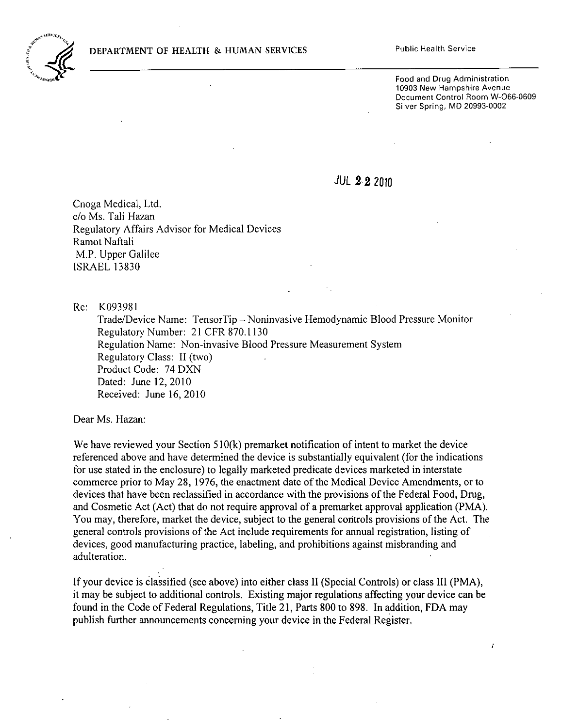#### **DEPARTMENT OF HEALTH & HUMAN SERVICES** Public Health Service



Food and Drug Administration **10903** New Hampshire Avenue Document Control Room W-066-0609 Silver Spring, MD 20993-0002

 $\lambda$ 

JUL 2 2 2010

Cnoga Medical, Ltd. c/o Ms. Tali Hazan Regulatory Affairs Advisor for Medical Devices Ramot Naftali M.P. Upper Galilee ISRAEL 13830

Re: K093981

Trade/Device Name: TensorTip - Noninvasive Hemodynamic Blood Pressure Monitor Regulatory Number: 21 CFR 870.1130 Regulation Name: Non-invasive Blood Pressure Measurement System Regulatory Class: II (two) Product Code: 74 DXN Dated: June 12, 2010 Received: June 16, 2010

Dear Ms. Hazan:

We have reviewed your Section  $510(k)$  premarket notification of intent to market the device referenced above and have determined the device is substantially equivalent (for the indications for use stated in the enclosure) to legally marketed predicate devices marketed in interstate commerce prior to May 28, 1976, the enactment date of the Medical Device Amendments, or to devices that have been reclassified in accordance with the provisions of the Federal Food, Drug, and Cosmetic Act (Act) that do not require approval of a premarket approval application (PMA). You may, therefore, market the device, subject to the general controls provisions of the Act. The general controls provisions of the Act include requirements for annual registration, listing of devices, good manufacturing practice, labeling, and prohibitions against misbranding and adulteration.

If your device is classified (see above) into either class II (Special Controls) or class III (PMA), it may be subject to additional controls. Existing major regulations affecting your device can be found in the Code of Federal Regulations, Title 21, Parts 800 to 898. In addition, FDA may publish further announcements concerning your device in the Federal Register.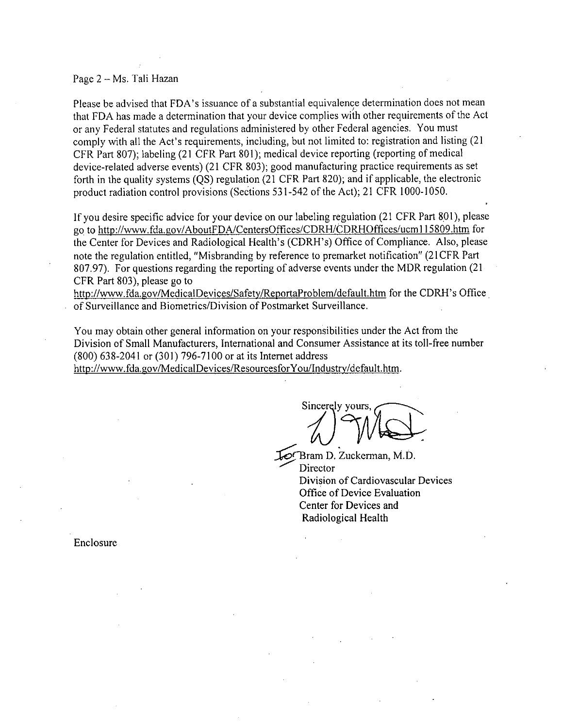#### Page 2 - Ms. Tali Hazan

Please be advised that FDA's issuance of a substantial equivalence determination does not mean that FDA has made a determination that your device complies with other requirements of the Act or any Federal statutes and regulations administered by other Federal agencies. You must comply with all the Act's requirements, including, but not limited to: registration and listing (21 CFR Part 807); labeling (21 CFR Part 801); medical device reporting (reporting of medical device-related adverse events) (21 CFR 803); good manufacturing practice requirements as set forth in the quality systems (QS) regulation (21 CFR Part 820); and if applicable, the electronic product radiation control provisions (Sections 531-542 of the Act); 21 CFR 1000-1050.

if you desire specific advice for your device on our labeling regulation (21 CFR Part 891), please go to http://www.fda.gov/AboutFDA/CentersOffices/CDRH/CDRHOffices/ucm115809.htm for the Center for Devices and Radiological Health's (CDRH's) Office of Compliance. Also, please note the regulation entitled, "Misbranding by reference to premarket notification" (21 CFR Part 807.97). For questions regarding the reporting of adverse events under the MDR regulation (21 CFR Part 803), please go to

http://www.fda.gov/MedicalDevices/Safety/ReportaProblem/default.htm for the CDRH's Office of Surveillance and Biometrics/Division of Postmarket Surveillance.

You may obtain other general information on your responsibilities under the Act from the Division of Small Manufacturers, International and Consumer Assistance at its toll-free number (800) 638-2041 or (301) 796-71 00 or at its Internet address

http://www.fda.gov/MedicalDevices/ResourcesforYou/Industry/default.htm.

Sincerely yours

Bram D. Zuckerman, M.D. **Director** Division of Cardiovascular Devices **Office** of Device Evaluation Center for Devices and Radiological Health

Enclosure